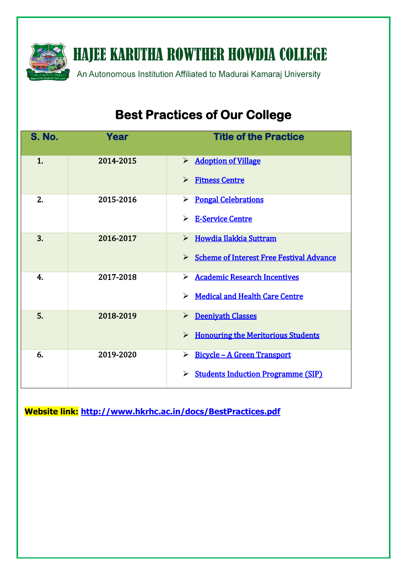

**HAJEE KARUTHA ROWTHER HOWDIA COLLEGE** 

An Autonomous Institution Affiliated to Madurai Kamaraj University

# **Best Practices of Our College**

| <b>S. No.</b>  | Year      | <b>Title of the Practice</b>                                 |
|----------------|-----------|--------------------------------------------------------------|
| 1 <sub>1</sub> | 2014-2015 | > Adoption of Village                                        |
|                |           | <b>Fitness Centre</b><br>$\blacktriangleright$               |
| 2.             | 2015-2016 | <b>Pongal Celebrations</b><br>➤                              |
|                |           | > E-Service Centre                                           |
| 3.             | 2016-2017 | > Howdia Ilakkia Suttram                                     |
|                |           | > Scheme of Interest Free Festival Advance                   |
| 4.             | 2017-2018 | > Academic Research Incentives                               |
|                |           | <b>Medical and Health Care Centre</b><br>➤                   |
| 5.             | 2018-2019 | > Deeniyath Classes                                          |
|                |           | <b>Honouring the Meritorious Students</b><br>➤               |
| 6.             | 2019-2020 | <u> Bicycle - A Green Transport</u><br>$\blacktriangleright$ |
|                |           | <b>Students Induction Programme (SIP)</b><br>➤               |

**Website link: <http://www.hkrhc.ac.in/docs/BestPractices.pdf>**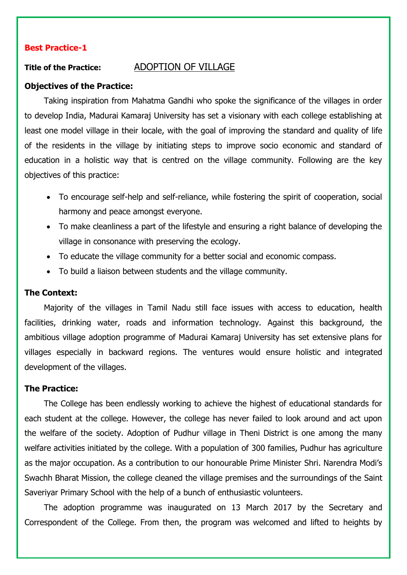# **Best Practice-1**

# <span id="page-1-0"></span>**Title of the Practice:** ADOPTION OF VILLAGE

#### **Objectives of the Practice:**

Taking inspiration from Mahatma Gandhi who spoke the significance of the villages in order to develop India, Madurai Kamaraj University has set a visionary with each college establishing at least one model village in their locale, with the goal of improving the standard and quality of life of the residents in the village by initiating steps to improve socio economic and standard of education in a holistic way that is centred on the village community. Following are the key objectives of this practice:

- To encourage self-help and self-reliance, while fostering the spirit of cooperation, social harmony and peace amongst everyone.
- To make cleanliness a part of the lifestyle and ensuring a right balance of developing the village in consonance with preserving the ecology.
- To educate the village community for a better social and economic compass.
- To build a liaison between students and the village community.

### **The Context:**

Majority of the villages in Tamil Nadu still face issues with access to education, health facilities, drinking water, roads and information technology. Against this background, the ambitious village adoption programme of Madurai Kamaraj University has set extensive plans for villages especially in backward regions. The ventures would ensure holistic and integrated development of the villages.

#### **The Practice:**

The College has been endlessly working to achieve the highest of educational standards for each student at the college. However, the college has never failed to look around and act upon the welfare of the society. Adoption of Pudhur village in Theni District is one among the many welfare activities initiated by the college. With a population of 300 families, Pudhur has agriculture as the major occupation. As a contribution to our honourable Prime Minister Shri. Narendra Modi's Swachh Bharat Mission, the college cleaned the village premises and the surroundings of the Saint Saveriyar Primary School with the help of a bunch of enthusiastic volunteers.

The adoption programme was inaugurated on 13 March 2017 by the Secretary and Correspondent of the College. From then, the program was welcomed and lifted to heights by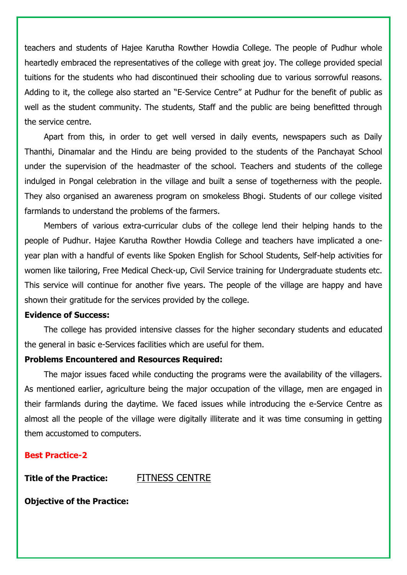teachers and students of Hajee Karutha Rowther Howdia College. The people of Pudhur whole heartedly embraced the representatives of the college with great joy. The college provided special tuitions for the students who had discontinued their schooling due to various sorrowful reasons. Adding to it, the college also started an "E-Service Centre" at Pudhur for the benefit of public as well as the student community. The students, Staff and the public are being benefitted through the service centre.

Apart from this, in order to get well versed in daily events, newspapers such as Daily Thanthi, Dinamalar and the Hindu are being provided to the students of the Panchayat School under the supervision of the headmaster of the school. Teachers and students of the college indulged in Pongal celebration in the village and built a sense of togetherness with the people. They also organised an awareness program on smokeless Bhogi. Students of our college visited farmlands to understand the problems of the farmers.

Members of various extra-curricular clubs of the college lend their helping hands to the people of Pudhur. Hajee Karutha Rowther Howdia College and teachers have implicated a oneyear plan with a handful of events like Spoken English for School Students, Self-help activities for women like tailoring, Free Medical Check-up, Civil Service training for Undergraduate students etc. This service will continue for another five years. The people of the village are happy and have shown their gratitude for the services provided by the college.

#### **Evidence of Success:**

The college has provided intensive classes for the higher secondary students and educated the general in basic e-Services facilities which are useful for them.

#### **Problems Encountered and Resources Required:**

The major issues faced while conducting the programs were the availability of the villagers. As mentioned earlier, agriculture being the major occupation of the village, men are engaged in their farmlands during the daytime. We faced issues while introducing the e-Service Centre as almost all the people of the village were digitally illiterate and it was time consuming in getting them accustomed to computers.

# **Best Practice-2**

**Title of the Practice:** FITNESS CENTRE

<span id="page-2-0"></span>

**Objective of the Practice:**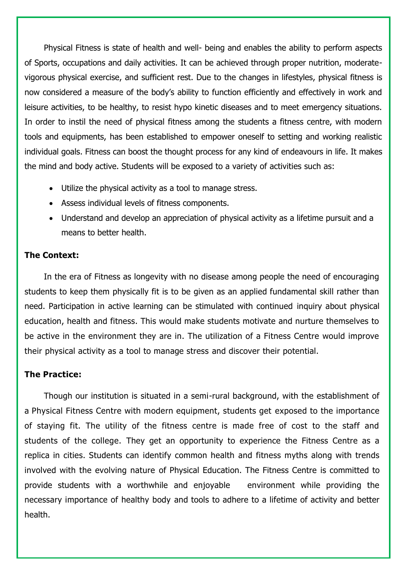Physical Fitness is state of health and well- being and enables the ability to perform aspects of Sports, occupations and daily activities. It can be achieved through proper nutrition, moderatevigorous physical exercise, and sufficient rest. Due to the changes in lifestyles, physical fitness is now considered a measure of the body's ability to function efficiently and effectively in work and leisure activities, to be healthy, to resist hypo kinetic diseases and to meet emergency situations. In order to instil the need of physical fitness among the students a fitness centre, with modern tools and equipments, has been established to empower oneself to setting and working realistic individual goals. Fitness can boost the thought process for any kind of endeavours in life. It makes the mind and body active. Students will be exposed to a variety of activities such as:

- Utilize the physical activity as a tool to manage stress.
- Assess individual levels of fitness components.
- Understand and develop an appreciation of physical activity as a lifetime pursuit and a means to better health.

# **The Context:**

In the era of Fitness as longevity with no disease among people the need of encouraging students to keep them physically fit is to be given as an applied fundamental skill rather than need. Participation in active learning can be stimulated with continued inquiry about physical education, health and fitness. This would make students motivate and nurture themselves to be active in the environment they are in. The utilization of a Fitness Centre would improve their physical activity as a tool to manage stress and discover their potential.

# **The Practice:**

Though our institution is situated in a semi-rural background, with the establishment of a Physical Fitness Centre with modern equipment, students get exposed to the importance of staying fit. The utility of the fitness centre is made free of cost to the staff and students of the college. They get an opportunity to experience the Fitness Centre as a replica in cities. Students can identify common health and fitness myths along with trends involved with the evolving nature of Physical Education. The Fitness Centre is committed to provide students with a worthwhile and enjoyable environment while providing the necessary importance of healthy body and tools to adhere to a lifetime of activity and better health.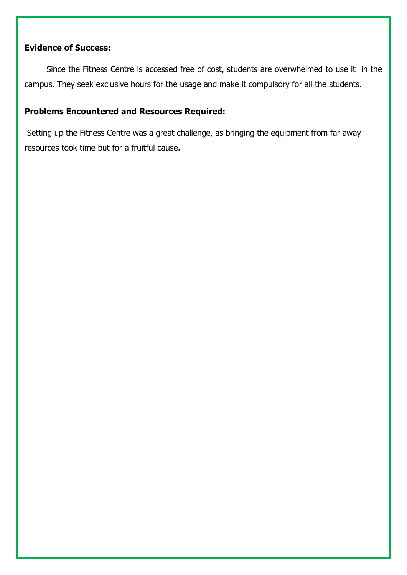# **Evidence of Success:**

Since the Fitness Centre is accessed free of cost, students are overwhelmed to use it in the campus. They seek exclusive hours for the usage and make it compulsory for all the students.

# **Problems Encountered and Resources Required:**

Setting up the Fitness Centre was a great challenge, as bringing the equipment from far away resources took time but for a fruitful cause.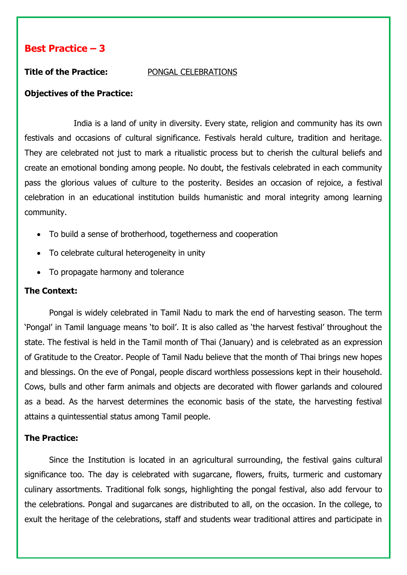<span id="page-5-0"></span>

#### **Title of the Practice:** PONGAL CELEBRATIONS

# **Objectives of the Practice:**

India is a land of unity in diversity. Every state, religion and community has its own festivals and occasions of cultural significance. Festivals herald culture, tradition and heritage. They are celebrated not just to mark a ritualistic process but to cherish the cultural beliefs and create an emotional bonding among people. No doubt, the festivals celebrated in each community pass the glorious values of culture to the posterity. Besides an occasion of rejoice, a festival celebration in an educational institution builds humanistic and moral integrity among learning community.

- To build a sense of brotherhood, togetherness and cooperation
- To celebrate cultural heterogeneity in unity
- To propagate harmony and tolerance

# **The Context:**

Pongal is widely celebrated in Tamil Nadu to mark the end of harvesting season. The term 'Pongal' in Tamil language means 'to boil'. It is also called as 'the harvest festival' throughout the state. The festival is held in the Tamil month of Thai (January) and is celebrated as an expression of Gratitude to the Creator. People of Tamil Nadu believe that the month of Thai brings new hopes and blessings. On the eve of Pongal, people discard worthless possessions kept in their household. Cows, bulls and other farm animals and objects are decorated with flower garlands and coloured as a bead. As the harvest determines the economic basis of the state, the harvesting festival attains a quintessential status among Tamil people.

# **The Practice:**

Since the Institution is located in an agricultural surrounding, the festival gains cultural significance too. The day is celebrated with sugarcane, flowers, fruits, turmeric and customary culinary assortments. Traditional folk songs, highlighting the pongal festival, also add fervour to the celebrations. Pongal and sugarcanes are distributed to all, on the occasion. In the college, to exult the heritage of the celebrations, staff and students wear traditional attires and participate in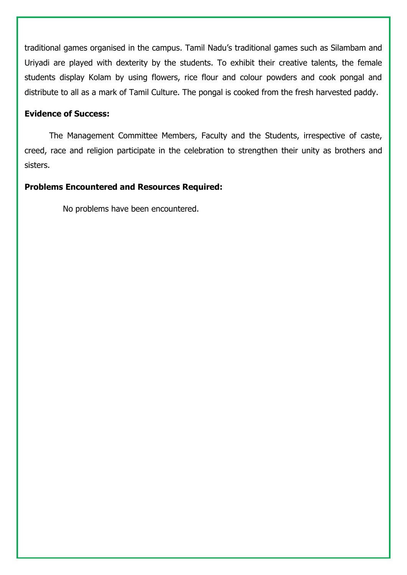traditional games organised in the campus. Tamil Nadu's traditional games such as Silambam and Uriyadi are played with dexterity by the students. To exhibit their creative talents, the female students display Kolam by using flowers, rice flour and colour powders and cook pongal and distribute to all as a mark of Tamil Culture. The pongal is cooked from the fresh harvested paddy.

# **Evidence of Success:**

The Management Committee Members, Faculty and the Students, irrespective of caste, creed, race and religion participate in the celebration to strengthen their unity as brothers and sisters.

# **Problems Encountered and Resources Required:**

No problems have been encountered.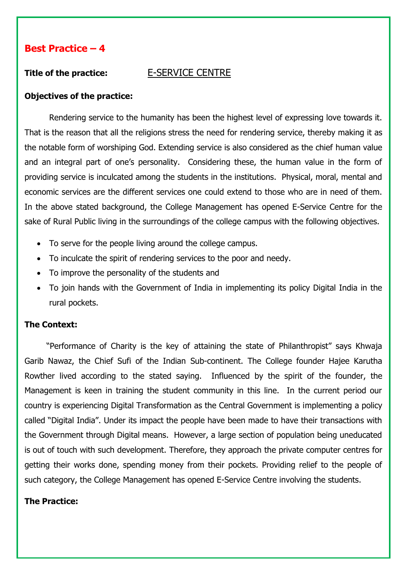# <span id="page-7-0"></span>**Title of the practice:** E-SERVICE CENTRE

# **Objectives of the practice:**

Rendering service to the humanity has been the highest level of expressing love towards it. That is the reason that all the religions stress the need for rendering service, thereby making it as the notable form of worshiping God. Extending service is also considered as the chief human value and an integral part of one's personality. Considering these, the human value in the form of providing service is inculcated among the students in the institutions. Physical, moral, mental and economic services are the different services one could extend to those who are in need of them. In the above stated background, the College Management has opened E-Service Centre for the sake of Rural Public living in the surroundings of the college campus with the following objectives.

- To serve for the people living around the college campus.
- To inculcate the spirit of rendering services to the poor and needy.
- To improve the personality of the students and
- To join hands with the Government of India in implementing its policy Digital India in the rural pockets.

# **The Context:**

"Performance of Charity is the key of attaining the state of Philanthropist" says Khwaja Garib Nawaz, the Chief Sufi of the Indian Sub-continent. The College founder Hajee Karutha Rowther lived according to the stated saying. Influenced by the spirit of the founder, the Management is keen in training the student community in this line. In the current period our country is experiencing Digital Transformation as the Central Government is implementing a policy called "Digital India". Under its impact the people have been made to have their transactions with the Government through Digital means. However, a large section of population being uneducated is out of touch with such development. Therefore, they approach the private computer centres for getting their works done, spending money from their pockets. Providing relief to the people of such category, the College Management has opened E-Service Centre involving the students.

### **The Practice:**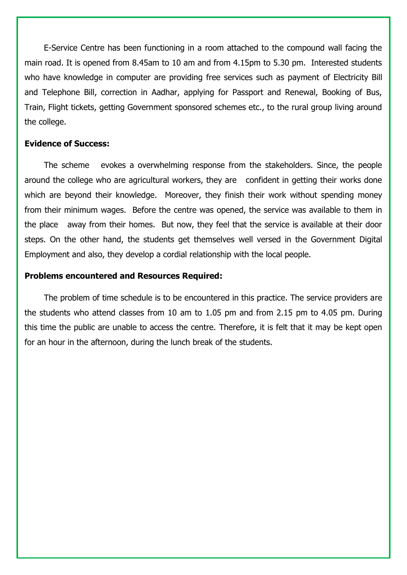E-Service Centre has been functioning in a room attached to the compound wall facing the main road. It is opened from 8.45am to 10 am and from 4.15pm to 5.30 pm. Interested students who have knowledge in computer are providing free services such as payment of Electricity Bill and Telephone Bill, correction in Aadhar, applying for Passport and Renewal, Booking of Bus, Train, Flight tickets, getting Government sponsored schemes etc., to the rural group living around the college.

#### **Evidence of Success:**

The scheme evokes a overwhelming response from the stakeholders. Since, the people around the college who are agricultural workers, they are confident in getting their works done which are beyond their knowledge. Moreover, they finish their work without spending money from their minimum wages. Before the centre was opened, the service was available to them in the place away from their homes. But now, they feel that the service is available at their door steps. On the other hand, the students get themselves well versed in the Government Digital Employment and also, they develop a cordial relationship with the local people.

#### **Problems encountered and Resources Required:**

The problem of time schedule is to be encountered in this practice. The service providers are the students who attend classes from 10 am to 1.05 pm and from 2.15 pm to 4.05 pm. During this time the public are unable to access the centre. Therefore, it is felt that it may be kept open for an hour in the afternoon, during the lunch break of the students.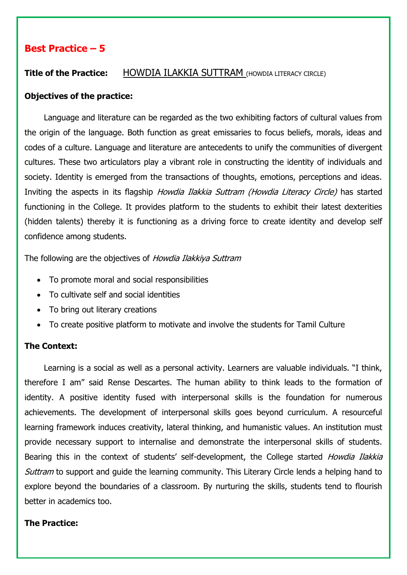# <span id="page-9-0"></span>**Title of the Practice:** HOWDIA ILAKKIA SUTTRAM (HOWDIA LITERACY CIRCLE)

### **Objectives of the practice:**

Language and literature can be regarded as the two exhibiting factors of cultural values from the origin of the language. Both function as great emissaries to focus beliefs, morals, ideas and codes of a culture. Language and literature are antecedents to unify the communities of divergent cultures. These two articulators play a vibrant role in constructing the identity of individuals and society. Identity is emerged from the transactions of thoughts, emotions, perceptions and ideas. Inviting the aspects in its flagship *Howdia Ilakkia Suttram (Howdia Literacy Circle)* has started functioning in the College. It provides platform to the students to exhibit their latest dexterities (hidden talents) thereby it is functioning as a driving force to create identity and develop self confidence among students.

The following are the objectives of Howdia Ilakkiya Suttram

- To promote moral and social responsibilities
- To cultivate self and social identities
- To bring out literary creations
- To create positive platform to motivate and involve the students for Tamil Culture

### **The Context:**

Learning is a social as well as a personal activity. Learners are valuable individuals. "I think, therefore I am" said Rense Descartes. The human ability to think leads to the formation of identity. A positive identity fused with interpersonal skills is the foundation for numerous achievements. The development of interpersonal skills goes beyond curriculum. A resourceful learning framework induces creativity, lateral thinking, and humanistic values. An institution must provide necessary support to internalise and demonstrate the interpersonal skills of students. Bearing this in the context of students' self-development, the College started *Howdia Ilakkia* Suttram to support and guide the learning community. This Literary Circle lends a helping hand to explore beyond the boundaries of a classroom. By nurturing the skills, students tend to flourish better in academics too.

# **The Practice:**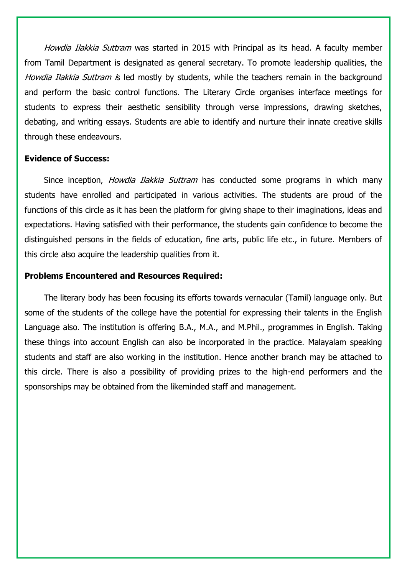Howdia Ilakkia Suttram was started in 2015 with Principal as its head. A faculty member from Tamil Department is designated as general secretary. To promote leadership qualities, the Howdia Ilakkia Suttram is led mostly by students, while the teachers remain in the background and perform the basic control functions. The Literary Circle organises interface meetings for students to express their aesthetic sensibility through verse impressions, drawing sketches, debating, and writing essays. Students are able to identify and nurture their innate creative skills through these endeavours.

#### **Evidence of Success:**

Since inception, *Howdia Ilakkia Suttram* has conducted some programs in which many students have enrolled and participated in various activities. The students are proud of the functions of this circle as it has been the platform for giving shape to their imaginations, ideas and expectations. Having satisfied with their performance, the students gain confidence to become the distinguished persons in the fields of education, fine arts, public life etc., in future. Members of this circle also acquire the leadership qualities from it.

### **Problems Encountered and Resources Required:**

The literary body has been focusing its efforts towards vernacular (Tamil) language only. But some of the students of the college have the potential for expressing their talents in the English Language also. The institution is offering B.A., M.A., and M.Phil., programmes in English. Taking these things into account English can also be incorporated in the practice. Malayalam speaking students and staff are also working in the institution. Hence another branch may be attached to this circle. There is also a possibility of providing prizes to the high-end performers and the sponsorships may be obtained from the likeminded staff and management.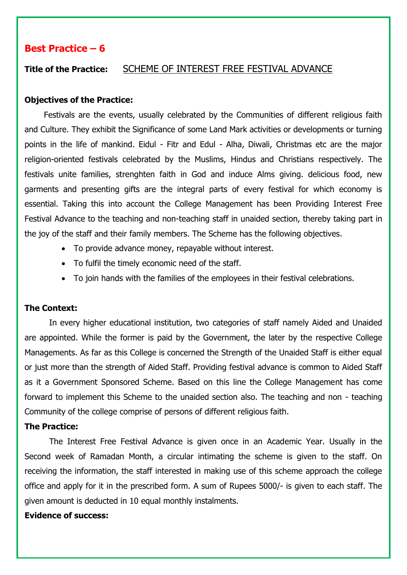# <span id="page-11-0"></span>**Title of the Practice:** SCHEME OF INTEREST FREE FESTIVAL ADVANCE

#### **Objectives of the Practice:**

Festivals are the events, usually celebrated by the Communities of different religious faith and Culture. They exhibit the Significance of some Land Mark activities or developments or turning points in the life of mankind. Eidul - Fitr and Edul - Alha, Diwali, Christmas etc are the major religion-oriented festivals celebrated by the Muslims, Hindus and Christians respectively. The festivals unite families, strenghten faith in God and induce Alms giving. delicious food, new garments and presenting gifts are the integral parts of every festival for which economy is essential. Taking this into account the College Management has been Providing Interest Free Festival Advance to the teaching and non-teaching staff in unaided section, thereby taking part in the joy of the staff and their family members. The Scheme has the following objectives.

- To provide advance money, repayable without interest.
- To fulfil the timely economic need of the staff.
- To join hands with the families of the employees in their festival celebrations.

#### **The Context:**

In every higher educational institution, two categories of staff namely Aided and Unaided are appointed. While the former is paid by the Government, the later by the respective College Managements. As far as this College is concerned the Strength of the Unaided Staff is either equal or just more than the strength of Aided Staff. Providing festival advance is common to Aided Staff as it a Government Sponsored Scheme. Based on this line the College Management has come forward to implement this Scheme to the unaided section also. The teaching and non - teaching Community of the college comprise of persons of different religious faith.

#### **The Practice:**

The Interest Free Festival Advance is given once in an Academic Year. Usually in the Second week of Ramadan Month, a circular intimating the scheme is given to the staff. On receiving the information, the staff interested in making use of this scheme approach the college office and apply for it in the prescribed form. A sum of Rupees 5000/- is given to each staff. The given amount is deducted in 10 equal monthly instalments.

## **Evidence of success:**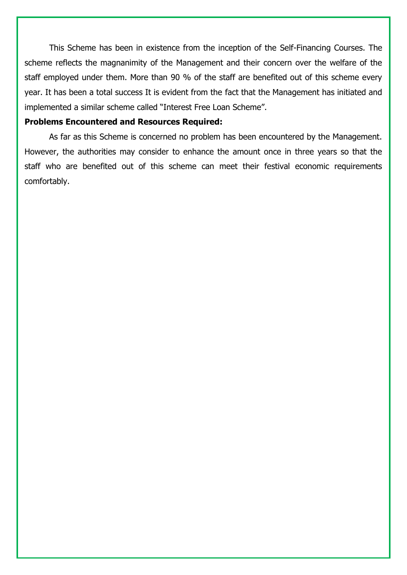This Scheme has been in existence from the inception of the Self-Financing Courses. The scheme reflects the magnanimity of the Management and their concern over the welfare of the staff employed under them. More than 90 % of the staff are benefited out of this scheme every year. It has been a total success It is evident from the fact that the Management has initiated and implemented a similar scheme called "Interest Free Loan Scheme".

#### **Problems Encountered and Resources Required:**

As far as this Scheme is concerned no problem has been encountered by the Management. However, the authorities may consider to enhance the amount once in three years so that the staff who are benefited out of this scheme can meet their festival economic requirements comfortably.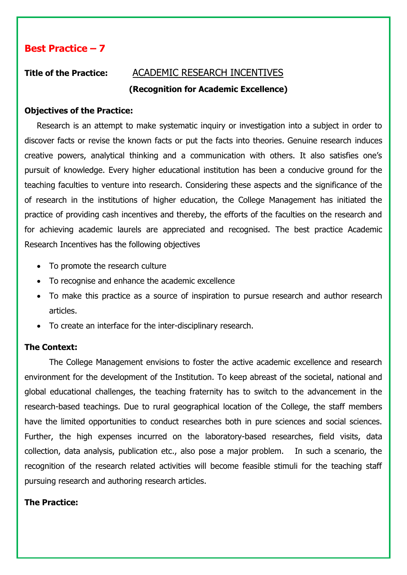# **Title of the Practice:** ACADEMIC RESEARCH INCENTIVES

# <span id="page-13-0"></span>**(Recognition for Academic Excellence)**

# **Objectives of the Practice:**

Research is an attempt to make systematic inquiry or investigation into a subject in order to discover facts or revise the known facts or put the facts into theories. Genuine research induces creative powers, analytical thinking and a communication with others. It also satisfies one's pursuit of knowledge. Every higher educational institution has been a conducive ground for the teaching faculties to venture into research. Considering these aspects and the significance of the of research in the institutions of higher education, the College Management has initiated the practice of providing cash incentives and thereby, the efforts of the faculties on the research and for achieving academic laurels are appreciated and recognised. The best practice Academic Research Incentives has the following objectives

- To promote the research culture
- To recognise and enhance the academic excellence
- To make this practice as a source of inspiration to pursue research and author research articles.
- To create an interface for the inter-disciplinary research.

# **The Context:**

The College Management envisions to foster the active academic excellence and research environment for the development of the Institution. To keep abreast of the societal, national and global educational challenges, the teaching fraternity has to switch to the advancement in the research-based teachings. Due to rural geographical location of the College, the staff members have the limited opportunities to conduct researches both in pure sciences and social sciences. Further, the high expenses incurred on the laboratory-based researches, field visits, data collection, data analysis, publication etc., also pose a major problem. In such a scenario, the recognition of the research related activities will become feasible stimuli for the teaching staff pursuing research and authoring research articles.

### **The Practice:**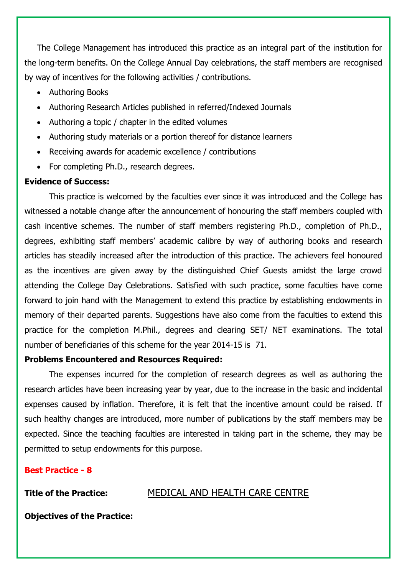The College Management has introduced this practice as an integral part of the institution for the long-term benefits. On the College Annual Day celebrations, the staff members are recognised by way of incentives for the following activities / contributions.

- Authoring Books
- Authoring Research Articles published in referred/Indexed Journals
- Authoring a topic / chapter in the edited volumes
- Authoring study materials or a portion thereof for distance learners
- Receiving awards for academic excellence / contributions
- For completing Ph.D., research degrees.

# **Evidence of Success:**

This practice is welcomed by the faculties ever since it was introduced and the College has witnessed a notable change after the announcement of honouring the staff members coupled with cash incentive schemes. The number of staff members registering Ph.D., completion of Ph.D., degrees, exhibiting staff members' academic calibre by way of authoring books and research articles has steadily increased after the introduction of this practice. The achievers feel honoured as the incentives are given away by the distinguished Chief Guests amidst the large crowd attending the College Day Celebrations. Satisfied with such practice, some faculties have come forward to join hand with the Management to extend this practice by establishing endowments in memory of their departed parents. Suggestions have also come from the faculties to extend this practice for the completion M.Phil., degrees and clearing SET/ NET examinations. The total number of beneficiaries of this scheme for the year 2014-15 is 71.

# **Problems Encountered and Resources Required:**

The expenses incurred for the completion of research degrees as well as authoring the research articles have been increasing year by year, due to the increase in the basic and incidental expenses caused by inflation. Therefore, it is felt that the incentive amount could be raised. If such healthy changes are introduced, more number of publications by the staff members may be expected. Since the teaching faculties are interested in taking part in the scheme, they may be permitted to setup endowments for this purpose.

# **Best Practice - 8**

<span id="page-14-0"></span>

# **Title of the Practice:** MEDICAL AND HEALTH CARE CENTRE

**Objectives of the Practice:**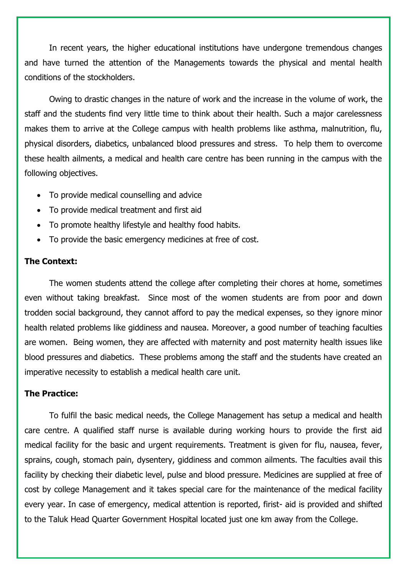In recent years, the higher educational institutions have undergone tremendous changes and have turned the attention of the Managements towards the physical and mental health conditions of the stockholders.

Owing to drastic changes in the nature of work and the increase in the volume of work, the staff and the students find very little time to think about their health. Such a major carelessness makes them to arrive at the College campus with health problems like asthma, malnutrition, flu, physical disorders, diabetics, unbalanced blood pressures and stress. To help them to overcome these health ailments, a medical and health care centre has been running in the campus with the following objectives.

- To provide medical counselling and advice
- To provide medical treatment and first aid
- To promote healthy lifestyle and healthy food habits.
- To provide the basic emergency medicines at free of cost.

#### **The Context:**

The women students attend the college after completing their chores at home, sometimes even without taking breakfast. Since most of the women students are from poor and down trodden social background, they cannot afford to pay the medical expenses, so they ignore minor health related problems like giddiness and nausea. Moreover, a good number of teaching faculties are women. Being women, they are affected with maternity and post maternity health issues like blood pressures and diabetics. These problems among the staff and the students have created an imperative necessity to establish a medical health care unit.

# **The Practice:**

To fulfil the basic medical needs, the College Management has setup a medical and health care centre. A qualified staff nurse is available during working hours to provide the first aid medical facility for the basic and urgent requirements. Treatment is given for flu, nausea, fever, sprains, cough, stomach pain, dysentery, giddiness and common ailments. The faculties avail this facility by checking their diabetic level, pulse and blood pressure. Medicines are supplied at free of cost by college Management and it takes special care for the maintenance of the medical facility every year. In case of emergency, medical attention is reported, firist- aid is provided and shifted to the Taluk Head Quarter Government Hospital located just one km away from the College.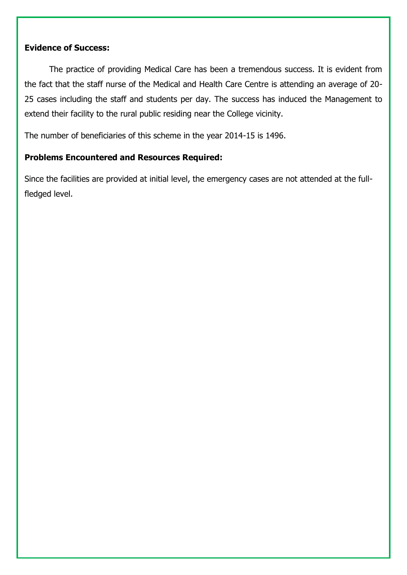# **Evidence of Success:**

The practice of providing Medical Care has been a tremendous success. It is evident from the fact that the staff nurse of the Medical and Health Care Centre is attending an average of 20- 25 cases including the staff and students per day. The success has induced the Management to extend their facility to the rural public residing near the College vicinity.

The number of beneficiaries of this scheme in the year 2014-15 is 1496.

# **Problems Encountered and Resources Required:**

Since the facilities are provided at initial level, the emergency cases are not attended at the fullfledged level.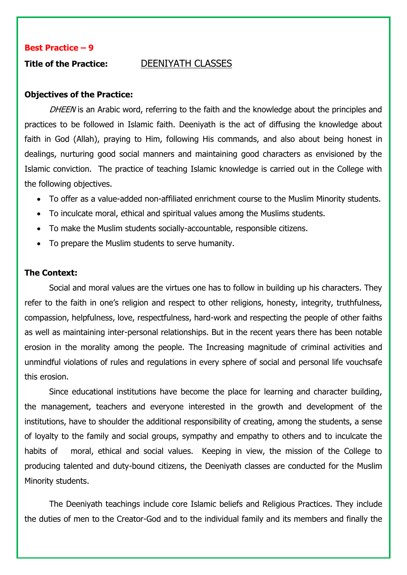#### <span id="page-17-0"></span>**Title of the Practice:** DEENIYATH CLASSES

#### **Objectives of the Practice:**

DHEEN is an Arabic word, referring to the faith and the knowledge about the principles and practices to be followed in Islamic faith. Deeniyath is the act of diffusing the knowledge about faith in God (Allah), praying to Him, following His commands, and also about being honest in dealings, nurturing good social manners and maintaining good characters as envisioned by the Islamic conviction. The practice of teaching Islamic knowledge is carried out in the College with the following objectives.

- To offer as a value-added non-affiliated enrichment course to the Muslim Minority students.
- To inculcate moral, ethical and spiritual values among the Muslims students.
- To make the Muslim students socially-accountable, responsible citizens.
- To prepare the Muslim students to serve humanity.

# **The Context:**

Social and moral values are the virtues one has to follow in building up his characters. They refer to the faith in one's religion and respect to other religions, honesty, integrity, truthfulness, compassion, helpfulness, love, respectfulness, hard-work and respecting the people of other faiths as well as maintaining inter-personal relationships. But in the recent years there has been notable erosion in the morality among the people. The Increasing magnitude of criminal activities and unmindful violations of rules and regulations in every sphere of social and personal life vouchsafe this erosion.

Since educational institutions have become the place for learning and character building, the management, teachers and everyone interested in the growth and development of the institutions, have to shoulder the additional responsibility of creating, among the students, a sense of loyalty to the family and social groups, sympathy and empathy to others and to inculcate the habits of moral, ethical and social values. Keeping in view, the mission of the College to producing talented and duty-bound citizens, the Deeniyath classes are conducted for the Muslim Minority students.

The Deeniyath teachings include core Islamic beliefs and Religious Practices. They include the duties of men to the Creator-God and to the individual family and its members and finally the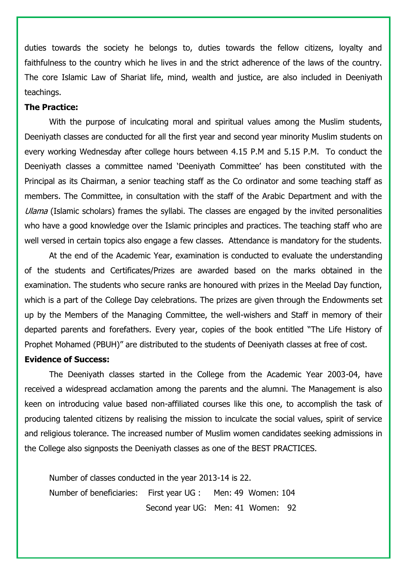duties towards the society he belongs to, duties towards the fellow citizens, loyalty and faithfulness to the country which he lives in and the strict adherence of the laws of the country. The core Islamic Law of Shariat life, mind, wealth and justice, are also included in Deeniyath teachings.

#### **The Practice:**

With the purpose of inculcating moral and spiritual values among the Muslim students, Deeniyath classes are conducted for all the first year and second year minority Muslim students on every working Wednesday after college hours between 4.15 P.M and 5.15 P.M. To conduct the Deeniyath classes a committee named 'Deeniyath Committee' has been constituted with the Principal as its Chairman, a senior teaching staff as the Co ordinator and some teaching staff as members. The Committee, in consultation with the staff of the Arabic Department and with the Ulama (Islamic scholars) frames the syllabi. The classes are engaged by the invited personalities who have a good knowledge over the Islamic principles and practices. The teaching staff who are well versed in certain topics also engage a few classes. Attendance is mandatory for the students.

At the end of the Academic Year, examination is conducted to evaluate the understanding of the students and Certificates/Prizes are awarded based on the marks obtained in the examination. The students who secure ranks are honoured with prizes in the Meelad Day function, which is a part of the College Day celebrations. The prizes are given through the Endowments set up by the Members of the Managing Committee, the well-wishers and Staff in memory of their departed parents and forefathers. Every year, copies of the book entitled "The Life History of Prophet Mohamed (PBUH)" are distributed to the students of Deeniyath classes at free of cost.

# **Evidence of Success:**

The Deeniyath classes started in the College from the Academic Year 2003-04, have received a widespread acclamation among the parents and the alumni. The Management is also keen on introducing value based non-affiliated courses like this one, to accomplish the task of producing talented citizens by realising the mission to inculcate the social values, spirit of service and religious tolerance. The increased number of Muslim women candidates seeking admissions in the College also signposts the Deeniyath classes as one of the BEST PRACTICES.

Number of classes conducted in the year 2013-14 is 22. Number of beneficiaries: First year UG : Men: 49 Women: 104 Second year UG: Men: 41 Women: 92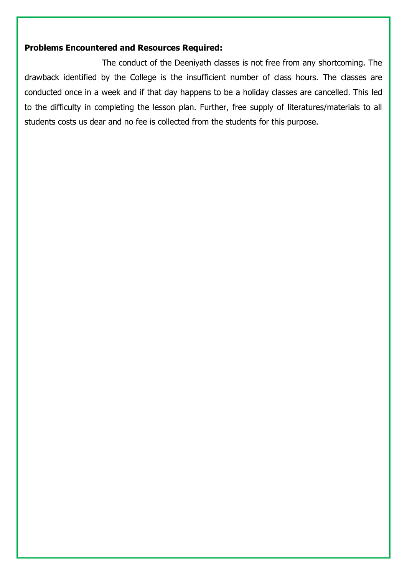# **Problems Encountered and Resources Required:**

The conduct of the Deeniyath classes is not free from any shortcoming. The drawback identified by the College is the insufficient number of class hours. The classes are conducted once in a week and if that day happens to be a holiday classes are cancelled. This led to the difficulty in completing the lesson plan. Further, free supply of literatures/materials to all students costs us dear and no fee is collected from the students for this purpose.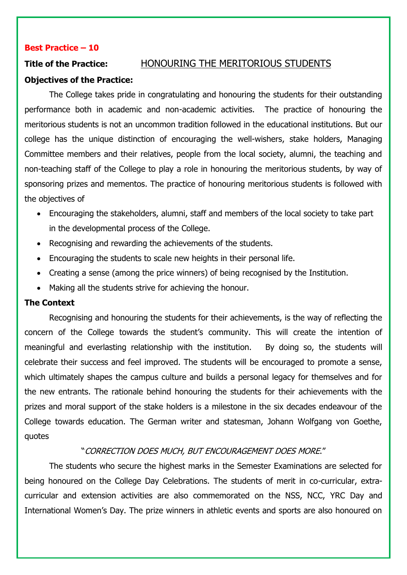# <span id="page-20-0"></span>**Title of the Practice:** HONOURING THE MERITORIOUS STUDENTS

# **Objectives of the Practice:**

The College takes pride in congratulating and honouring the students for their outstanding performance both in academic and non-academic activities. The practice of honouring the meritorious students is not an uncommon tradition followed in the educational institutions. But our college has the unique distinction of encouraging the well-wishers, stake holders, Managing Committee members and their relatives, people from the local society, alumni, the teaching and non-teaching staff of the College to play a role in honouring the meritorious students, by way of sponsoring prizes and mementos. The practice of honouring meritorious students is followed with the objectives of

- Encouraging the stakeholders, alumni, staff and members of the local society to take part in the developmental process of the College.
- Recognising and rewarding the achievements of the students.
- Encouraging the students to scale new heights in their personal life.
- Creating a sense (among the price winners) of being recognised by the Institution.
- Making all the students strive for achieving the honour.

# **The Context**

Recognising and honouring the students for their achievements, is the way of reflecting the concern of the College towards the student's community. This will create the intention of meaningful and everlasting relationship with the institution. By doing so, the students will celebrate their success and feel improved. The students will be encouraged to promote a sense, which ultimately shapes the campus culture and builds a personal legacy for themselves and for the new entrants. The rationale behind honouring the students for their achievements with the prizes and moral support of the stake holders is a milestone in the six decades endeavour of the College towards education. The German writer and statesman, Johann Wolfgang von Goethe, quotes

# "CORRECTION DOES MUCH, BUT ENCOURAGEMENT DOES MORE."

The students who secure the highest marks in the Semester Examinations are selected for being honoured on the College Day Celebrations. The students of merit in co-curricular, extracurricular and extension activities are also commemorated on the NSS, NCC, YRC Day and International Women's Day. The prize winners in athletic events and sports are also honoured on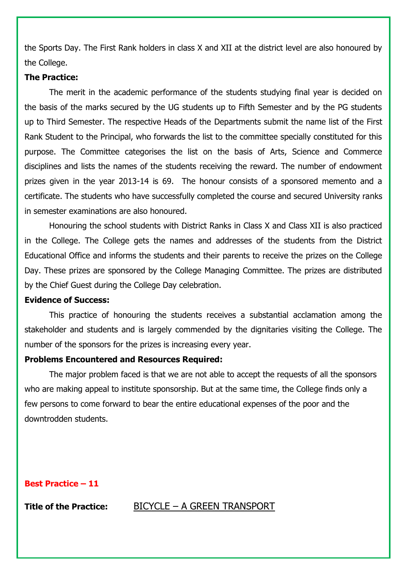the Sports Day. The First Rank holders in class X and XII at the district level are also honoured by the College.

#### **The Practice:**

The merit in the academic performance of the students studying final year is decided on the basis of the marks secured by the UG students up to Fifth Semester and by the PG students up to Third Semester. The respective Heads of the Departments submit the name list of the First Rank Student to the Principal, who forwards the list to the committee specially constituted for this purpose. The Committee categorises the list on the basis of Arts, Science and Commerce disciplines and lists the names of the students receiving the reward. The number of endowment prizes given in the year 2013-14 is 69. The honour consists of a sponsored memento and a certificate. The students who have successfully completed the course and secured University ranks in semester examinations are also honoured.

Honouring the school students with District Ranks in Class X and Class XII is also practiced in the College. The College gets the names and addresses of the students from the District Educational Office and informs the students and their parents to receive the prizes on the College Day. These prizes are sponsored by the College Managing Committee. The prizes are distributed by the Chief Guest during the College Day celebration.

#### **Evidence of Success:**

This practice of honouring the students receives a substantial acclamation among the stakeholder and students and is largely commended by the dignitaries visiting the College. The number of the sponsors for the prizes is increasing every year.

#### **Problems Encountered and Resources Required:**

The major problem faced is that we are not able to accept the requests of all the sponsors who are making appeal to institute sponsorship. But at the same time, the College finds only a few persons to come forward to bear the entire educational expenses of the poor and the downtrodden students.

### **Best Practice – 11**

<span id="page-21-0"></span>

### **Title of the Practice:** BICYCLE – A GREEN TRANSPORT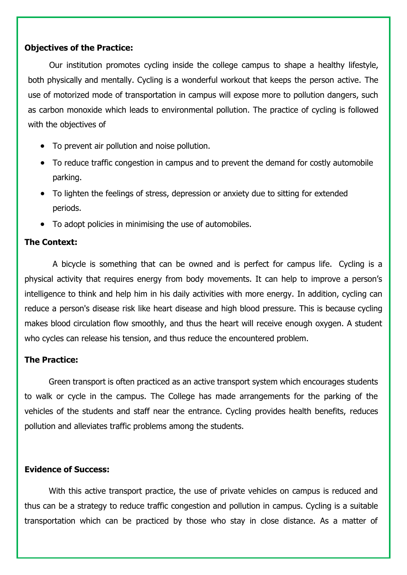# **Objectives of the Practice:**

Our institution promotes cycling inside the college campus to shape a healthy lifestyle, both physically and mentally. Cycling is a wonderful workout that keeps the person active. The use of motorized mode of transportation in campus will expose more to pollution dangers, such as carbon monoxide which leads to environmental pollution. The practice of cycling is followed with the objectives of

- To prevent air pollution and noise pollution.
- To reduce traffic congestion in campus and to prevent the demand for costly automobile parking.
- To lighten the feelings of stress, depression or anxiety due to sitting for extended periods.
- To adopt policies in minimising the use of automobiles.

# **The Context:**

A bicycle is something that can be owned and is perfect for campus life. Cycling is a physical activity that requires energy from body movements. It can help to improve a person's intelligence to think and help him in his daily activities with more energy. In addition, cycling can reduce a person's disease risk like heart disease and high blood pressure. This is because cycling makes blood circulation flow smoothly, and thus the heart will receive enough oxygen. A student who cycles can release his tension, and thus reduce the encountered problem.

# **The Practice:**

Green transport is often practiced as an active transport system which encourages students to walk or cycle in the campus. The College has made arrangements for the parking of the vehicles of the students and staff near the entrance. Cycling provides health benefits, reduces pollution and alleviates traffic problems among the students.

# **Evidence of Success:**

With this active transport practice, the use of private vehicles on campus is reduced and thus can be a strategy to reduce traffic congestion and pollution in campus. Cycling is a suitable transportation which can be practiced by those who stay in close distance. As a matter of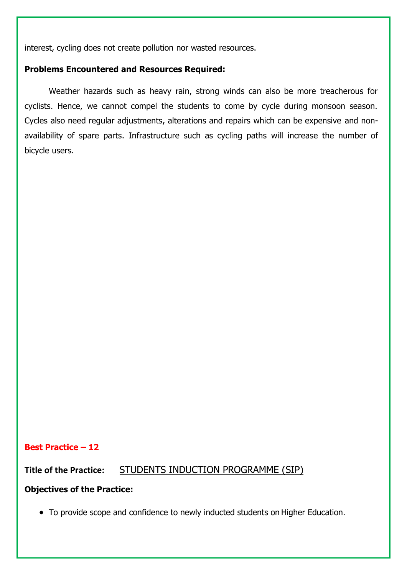interest, cycling does not create pollution nor wasted resources.

# **Problems Encountered and Resources Required:**

Weather hazards such as heavy rain, strong winds can also be more treacherous for cyclists. Hence, we cannot compel the students to come by cycle during monsoon season. Cycles also need regular adjustments, alterations and repairs which can be expensive and nonavailability of spare parts. Infrastructure such as cycling paths will increase the number of bicycle users.

# **Best Practice – 12**

**Title of the Practice:** STUDENTS INDUCTION PROGRAMME (SIP)

### **Objectives of the Practice:**

<span id="page-23-0"></span>To provide scope and confidence to newly inducted students on Higher Education.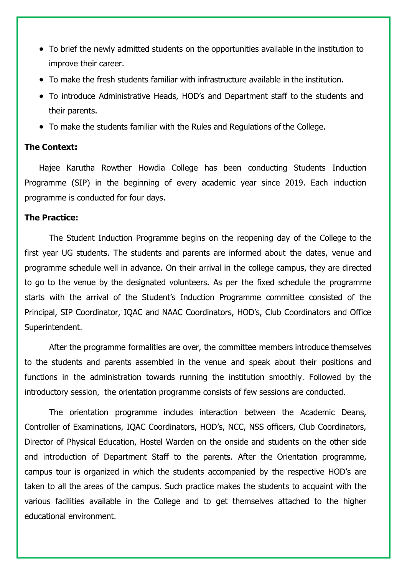- To brief the newly admitted students on the opportunities available in the institution to improve their career.
- To make the fresh students familiar with infrastructure available in the institution.
- To introduce Administrative Heads, HOD's and Department staff to the students and their parents.
- To make the students familiar with the Rules and Regulations of the College.

# **The Context:**

Hajee Karutha Rowther Howdia College has been conducting Students Induction Programme (SIP) in the beginning of every academic year since 2019. Each induction programme is conducted for four days.

#### **The Practice:**

The Student Induction Programme begins on the reopening day of the College to the first year UG students. The students and parents are informed about the dates, venue and programme schedule well in advance. On their arrival in the college campus, they are directed to go to the venue by the designated volunteers. As per the fixed schedule the programme starts with the arrival of the Student's Induction Programme committee consisted of the Principal, SIP Coordinator, IQAC and NAAC Coordinators, HOD's, Club Coordinators and Office Superintendent.

After the programme formalities are over, the committee members introduce themselves to the students and parents assembled in the venue and speak about their positions and functions in the administration towards running the institution smoothly. Followed by the introductory session, the orientation programme consists of few sessions are conducted.

The orientation programme includes interaction between the Academic Deans, Controller of Examinations, IQAC Coordinators, HOD's, NCC, NSS officers, Club Coordinators, Director of Physical Education, Hostel Warden on the onside and students on the other side and introduction of Department Staff to the parents. After the Orientation programme, campus tour is organized in which the students accompanied by the respective HOD's are taken to all the areas of the campus. Such practice makes the students to acquaint with the various facilities available in the College and to get themselves attached to the higher educational environment.